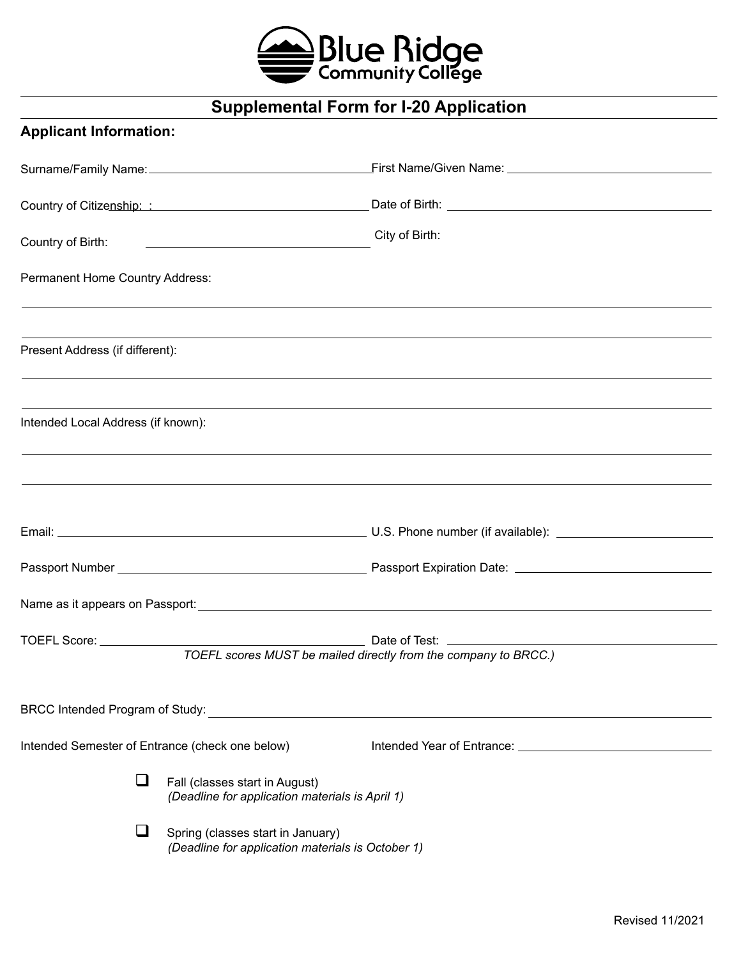

# **Supplemental Form for I-20 Application**

## **Applicant Information:**

|                                                 |                                                                                        | Country of Citizenship: : Country of Citizenship: : Country of Citizenship: : Country of Citizenship: : Country of Citizenship: : Country of Citizenship: : Country of Citizenship: : Country of Citizenship: : Country of Cit |
|-------------------------------------------------|----------------------------------------------------------------------------------------|--------------------------------------------------------------------------------------------------------------------------------------------------------------------------------------------------------------------------------|
|                                                 |                                                                                        | City of Birth:                                                                                                                                                                                                                 |
| Permanent Home Country Address:                 |                                                                                        |                                                                                                                                                                                                                                |
| Present Address (if different):                 |                                                                                        | ,我们也不会有什么?""我们的人,我们也不会有什么?""我们的人,我们也不会有什么?""我们的人,我们也不会有什么?""我们的人,我们也不会有什么?""我们的人                                                                                                                                               |
| Intended Local Address (if known):              |                                                                                        |                                                                                                                                                                                                                                |
|                                                 |                                                                                        |                                                                                                                                                                                                                                |
|                                                 |                                                                                        |                                                                                                                                                                                                                                |
|                                                 |                                                                                        |                                                                                                                                                                                                                                |
|                                                 |                                                                                        |                                                                                                                                                                                                                                |
|                                                 |                                                                                        | TOEFL scores MUST be mailed directly from the company to BRCC.)                                                                                                                                                                |
| BRCC Intended Program of Study:                 |                                                                                        |                                                                                                                                                                                                                                |
| Intended Semester of Entrance (check one below) |                                                                                        |                                                                                                                                                                                                                                |
|                                                 | Fall (classes start in August)<br>(Deadline for application materials is April 1)      |                                                                                                                                                                                                                                |
|                                                 | Spring (classes start in January)<br>(Deadline for application materials is October 1) |                                                                                                                                                                                                                                |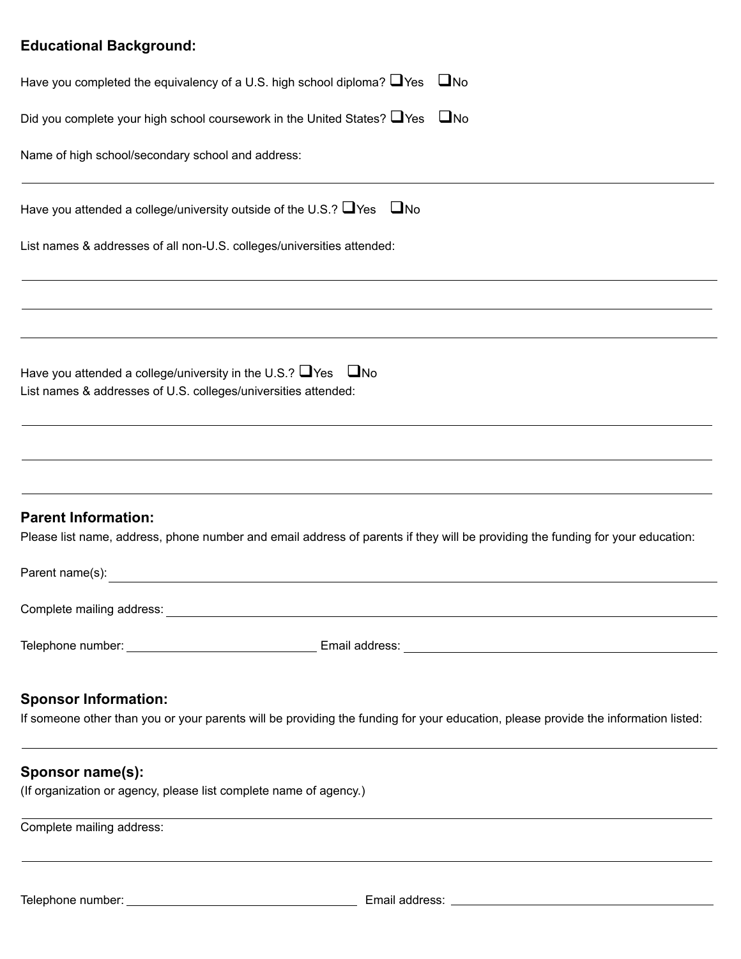## **Educational Background:**

| Have you completed the equivalency of a U.S. high school diploma? $\Box$ Yes $\Box$ No                                                                                                                                                            |
|---------------------------------------------------------------------------------------------------------------------------------------------------------------------------------------------------------------------------------------------------|
| Did you complete your high school coursework in the United States? $\Box$ Yes $\Box$ No                                                                                                                                                           |
| Name of high school/secondary school and address:                                                                                                                                                                                                 |
| Have you attended a college/university outside of the U.S.? $\Box$ Yes $\Box$ No                                                                                                                                                                  |
| List names & addresses of all non-U.S. colleges/universities attended:                                                                                                                                                                            |
|                                                                                                                                                                                                                                                   |
| Have you attended a college/university in the U.S.? $\Box$ Yes $\Box$ No<br>List names & addresses of U.S. colleges/universities attended:                                                                                                        |
|                                                                                                                                                                                                                                                   |
| ,我们也不能会有什么。""我们的人,我们也不能会有什么?""我们的人,我们也不能会有什么?""我们的人,我们也不能会有什么?""我们的人,我们也不能会有什么?""<br><b>Parent Information:</b><br>Please list name, address, phone number and email address of parents if they will be providing the funding for your education: |
| Parent name(s):                                                                                                                                                                                                                                   |
| Complete mailing address:                                                                                                                                                                                                                         |
|                                                                                                                                                                                                                                                   |
| <b>Sponsor Information:</b><br>If someone other than you or your parents will be providing the funding for your education, please provide the information listed:                                                                                 |
| Sponsor name(s):                                                                                                                                                                                                                                  |

## (If organization or agency, please list complete name of agency.)

Complete mailing address: